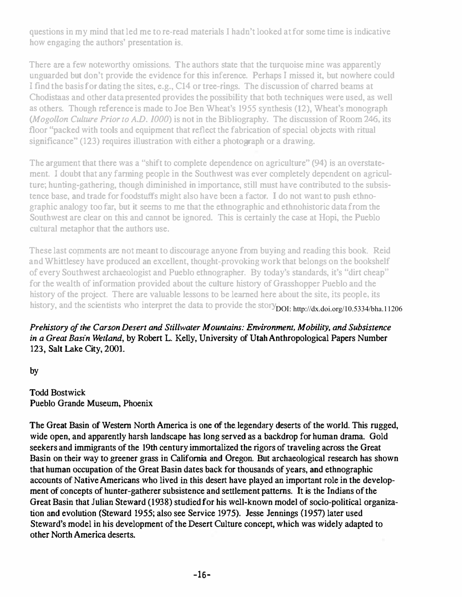questions in my mind that led me to re-read materials I hadn't looked at for some time is indicative how engaging the authors' presentation is.

There are a few noteworthy omissions. The authors state that the turquoise mine was apparently unguarded but don't provide the evidence for this inference. Perhaps I missed it, but nowhere could I find the basis for dating the sites, e.g., C14 or tree-rings. The discussion of charred beams at Chodistaas and other data presented provides the possibility that both techniques were used, as well as others. Though reference is made to Joe Ben Wheat's 1955 synthesis (12), Wheat's monograph (Mogollon Culture Prior to A.D. 1000) is not in the Bibliography. The discussion of Room 246, its floor "packed with tools and equipment that reflect the fabrication of special objects with ritual significance" (123) requires illustration with either a photograph or a drawing.

The argument that there was a "shift to complete dependence on agriculture" (94) is an overstatement. I doubt that any farming people in the Southwest was ever completely dependent on agriculture; hunting-gathering, though diminished in importance, still must have contributed to the subsistence base, and trade for foodstuffs might also have been a factor. I do not want to push ethnographic analogy too far, but it seems to me that the ethnographic and ethnohistoric data from the Southwest are clear on this and cannot be ignored. This is certainly the case at Hopi, the Pueblo cultural metaphor that the authors use.

These last comments are not meant to discourage anyone from buying and reading this book. Reid and Whittlesey have produced an excellent, thought-provoking work that belongs on the bookshelf of every Southwest archaeologist and Pueblo ethnographer. By today's standards, it's "dirt cheap" for the wealth of information'provided about the culture history of Grasshopper Pueblo and the history of the project. There are valuable lessons to be learned here about the site, its people, its history, and the scientists who interpret the data to provide the story DOI: http://dx.doi.org/10.5334/bha.11206

Prehistory of the Carson Desert and Stillwater Mountains: Environment, Mobility, and Subsistence in a Great Basin Wetland, by Robert L. Kelly, University of Utah Anthropological Papers Number 123, Salt Lake City, 2001.

by

Todd Bostwick Pueblo Grande Museum, Phoenix

The Great Basin of Western North America is one of the. legendary deserts of the world. This rugged, wide open, and apparently harsh landscape has long served as a backdrop for human drama. Gold seekers and immigrants of the 19th century immortalized the rigors of traveling across the Great Basin on their way to greener grass in California and Oregon. But archaeological research has shown that human occupation of the Great Basin dates back for thousands of years, and ethnographic accounts of Native Americans who lived in this desert have played an important role in the development of concepts of hunter-gatherer subsistence and settlement patterns. It is the Indians of the Great Basin that Julian Steward (1938) studied for his well-known model of socio-political organization and evolution (Steward 1955; also see Service 1975), Jesse Jennings (1957) later used Steward's model in his development of the Desert Culture concept, which was widely adapted to other North America deserts.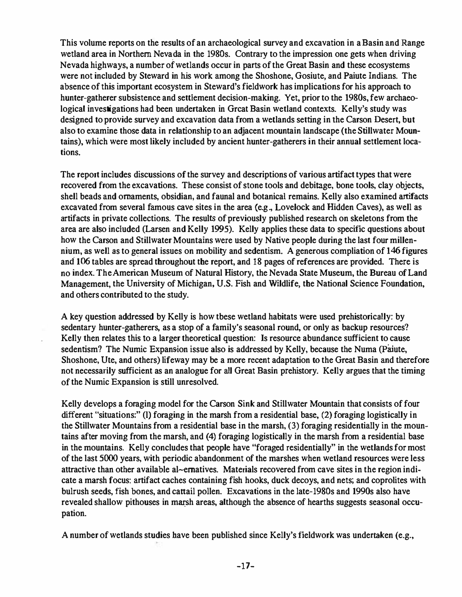This volume reports on the results of an archaeological survey and excavation in a Basin and Range wetland area in Northern Nevada in the 1980s. Contrary to the impression one gets when driving Nevada highways. a number of wetlands occur in parts of the Great Basin and these ecosystems were not included by Steward in his work among the Shoshone. Gosiute, and Paiute Indians. The absence of this important ecosystem in Steward's fieldwork has implications for his approach to hunter-gatherer subsistence and settlement decision-making. Yet, prior to the 1980s. few archaeological investigations had been undertaken in Grcat Basin wetland contexts. Kelly's study was designed to provide survey and excavation data from a wetlands setting in the Carson Desert. but also to examine those data in relationship to an adjacent mountain landscape (the Stillwater Mountains), which were most likely included by ancient hunter-gatherers in their annual settlement locations.

The report includes discussions of the survey and descriptions of various artifact types that were recovered from the excavations. These consist of stone tools and debitage, bone tools, clay objects, shell beads and ornaments, obsidian, and faunal and botanical remains. Kelly also examined artifacts excavated from several famous cave sites in the area (e.g., Lovelock and Hidden Caves), as well as artifacts in private collections. The results of previously published research on skeletons from the area are also included (Larsen and Kelly 1995). Kelly applies these data to specific questions about how the Carson and Stillwater Mountains were used by Native people during the last four millennium. as well as to general issues on mobility and sedentism. A generous compliation of 146 figures and 106 tables are spread throughout the report, and 18 pages of references are provided. There is no index. The American Museum of Natural History. the Nevada State Museum. the Bureau of Land Management, the University of Michigan, U.S. Fish and Wildlife, the National Science Foundation, and others contributed to the study.

A key question addressed by Kelly is how tbese wetland habitats were used prehistorically: by sedentary hunter-gatherers. as a stop of a family's seasonal round, or only as backup resources? Kelly then relates this to a larger theoretical question: Is resource abundance sufficient to cause sedentism? The Numic Expansion issue also is addressed by Kelly, because the Numa (Paiute, Shoshone. Ute. and others) lifeway may be a more recent adaptation to the Great Basin and therefore not necessarily sufficient as an analogue for all Great Basin prehistory. Kelly argues that the timing of the Numic Expansion is still unresolved.

Kelly develops a foraging model for the Carson Sink and Still water Mountain that consists of four different "situations:" (I) foraging in the marsh from a residential base, (2) foraging logistically in the Stillwater Mountains from a residential base in the marsh. (3) foraging residentially in the mountains after moving from the marsh, and (4) foraging logistically in the marsh from a residential base in the mountains. Kelly concludes that people have "foraged residentially" in the wetlands for most of the last 5000 years. with periodic abandonment of the marshes when wetland resources were less attractive than other available al~ematives. Materials recovered from cave sites in the region indicate a marsh focus: artifact caches containing fish hooks, duck decoys. and nets; and coprolites with bulrush seeds, fish bones, and cattail pollen. Excavations in the late-1980s and 1990s also have revealed shallow pithouses in marsh areas, although the absence of hearths suggests seasonal occupation.

A number of wetlands studies bave been published since Kelly's fieldwork was undertaken (e.g.,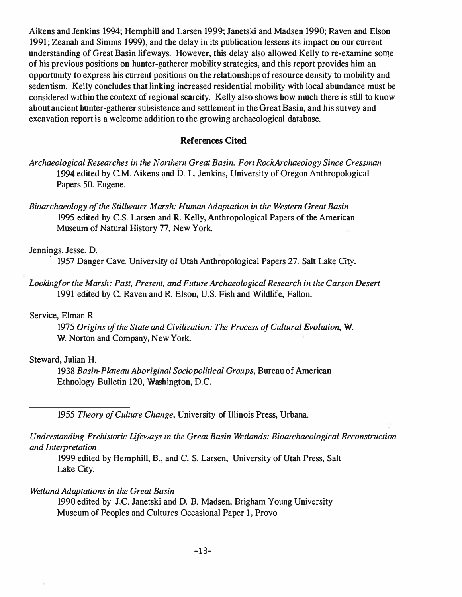Aikens and Jenkins 1994; Hemphill and Larsen 1999; Janetski and Madsen 1990; Raven and Elson 1991 ; Zeanah and Simms 1999), and the delay in its publication lessens its impact on our current understanding of Great Basin lifeways. However, this delay also allowed Kelly to re-examine some of his previous positions on hunter-gatherer mobility strategies, and this report provides him an opportunity to express his current positions on the relationships of resource density to mobility and sedentism. Kelly concludes that linking increased residential mobility with local abundance must be considered within the context of regional scarcity. Kelly also shows how much there is still to know about ancient hunter-gatherer subsistence and settlement in the Great Basin, and his survey and excavation report is a welcome addition to the growing archaeological database.

### References Cited

- Archaeological Researches in the Northern Great Basin: Fort RockArchaeology Since Cressman 1994 edited by C.M. Aikens and D. L. Jenkins, University of Oregon Anthropological Papers 50. Eugene.
- Bioarchaeology of the Stillwater Marsh: Human Adaptation in the Western Great Basin 1995 edited by C.S. Larsen and R. Kelly, Anthropological Papers of the American Museum of Natural History 77, New York.

#### Jennings, Jesse. D.

1957 Danger Cave. University of Utah Anthropological Papers 27. Salt Lake City.

Lookingfor the Marsh: Past. Present, and Future Archaeological Research in the Carson Desert 1991 edited by C. Raven and R. Elson, U.S. Fish and Wildlife, Fallon.

#### Service, Elman R.

1975 Origins of the State and Civilization: The Process of Cultural Evolution, W. W. Norton and Company, New York.

#### Steward, Juiian H.

1938 Basin-Plateau Aboriginal Sociopolitical Groups, Bureau of American Ethnology Bulletin 120, Washington, D.C.

1955 Theory of Culture Change, University of Illinois Press, Urbana.

## Understanding Prehistoric Lifeways in the Great Basin Wetlands: Bioarchaeological Reconstruction and Interpretation

1999 edited by Hemphill, B., and C. S. Larsen, University of Utah Press, Salt Lake City.

#### Wetland Adaptations in the Great Basin

1990 edited by J.C. Janetski and D. B. Madsen, Brigham Young University Museum of Peoples and Cultures Occasional Paper I, Provo.